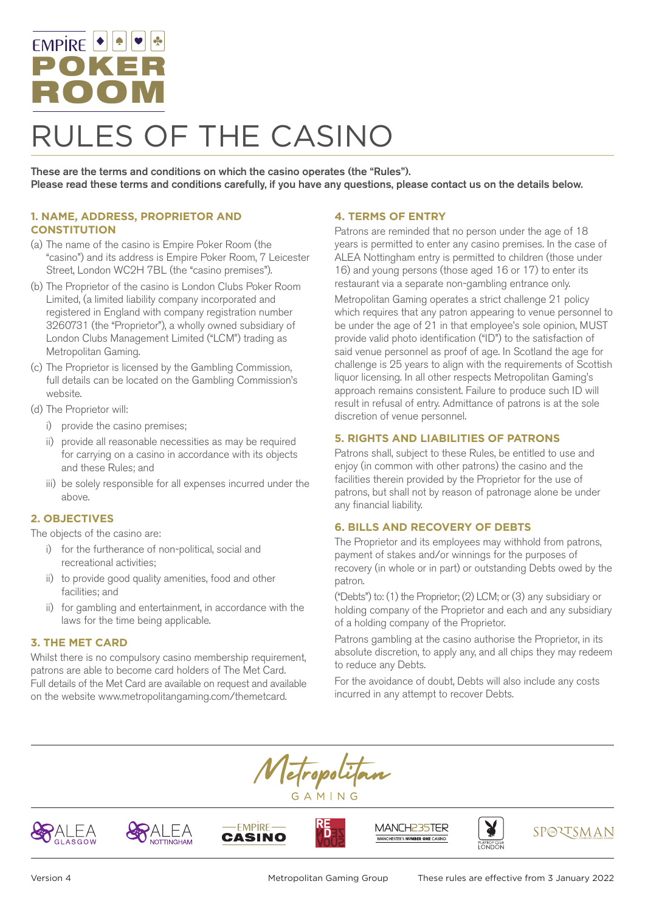# EMPIRE | POKER ROOMRULES OF THE CASINO

These are the terms and conditions on which the casino operates (the "Rules"). Please read these terms and conditions carefully, if you have any questions, please contact us on the details below.

# **1. NAME, ADDRESS, PROPRIETOR AND CONSTITUTION**

- (a) The name of the casino is Empire Poker Room (the "casino") and its address is Empire Poker Room, 7 Leicester Street, London WC2H 7BL (the "casino premises").
- (b) The Proprietor of the casino is London Clubs Poker Room Limited, (a limited liability company incorporated and registered in England with company registration number 3260731 (the "Proprietor"), a wholly owned subsidiary of London Clubs Management Limited ("LCM") trading as Metropolitan Gaming.
- (c) The Proprietor is licensed by the Gambling Commission, full details can be located on the Gambling Commission's website.
- (d) The Proprietor will:
	- i) provide the casino premises;
	- ii) provide all reasonable necessities as may be required for carrying on a casino in accordance with its objects and these Rules; and
	- iii) be solely responsible for all expenses incurred under the above.

#### **2. OBJECTIVES**

The objects of the casino are:

- i) for the furtherance of non-political, social and recreational activities;
- ii) to provide good quality amenities, food and other facilities; and
- ii) for gambling and entertainment, in accordance with the laws for the time being applicable.

#### **3. THE MET CARD**

Whilst there is no compulsory casino membership requirement, patrons are able to become card holders of The Met Card. Full details of the Met Card are available on request and available on the website www.metropolitangaming.com/themetcard.

#### **4. TERMS OF ENTRY**

Patrons are reminded that no person under the age of 18 years is permitted to enter any casino premises. In the case of ALEA Nottingham entry is permitted to children (those under 16) and young persons (those aged 16 or 17) to enter its restaurant via a separate non-gambling entrance only.

Metropolitan Gaming operates a strict challenge 21 policy which requires that any patron appearing to venue personnel to be under the age of 21 in that employee's sole opinion, MUST provide valid photo identification ("ID") to the satisfaction of said venue personnel as proof of age. In Scotland the age for challenge is 25 years to align with the requirements of Scottish liquor licensing. In all other respects Metropolitan Gaming's approach remains consistent. Failure to produce such ID will result in refusal of entry. Admittance of patrons is at the sole discretion of venue personnel.

## **5. RIGHTS AND LIABILITIES OF PATRONS**

Patrons shall, subject to these Rules, be entitled to use and enjoy (in common with other patrons) the casino and the facilities therein provided by the Proprietor for the use of patrons, but shall not by reason of patronage alone be under any financial liability.

# **6. BILLS AND RECOVERY OF DEBTS**

The Proprietor and its employees may withhold from patrons, payment of stakes and/or winnings for the purposes of recovery (in whole or in part) or outstanding Debts owed by the patron.

("Debts") to: (1) the Proprietor; (2) LCM; or (3) any subsidiary or holding company of the Proprietor and each and any subsidiary of a holding company of the Proprietor.

Patrons gambling at the casino authorise the Proprietor, in its absolute discretion, to apply any, and all chips they may redeem to reduce any Debts.

For the avoidance of doubt, Debts will also include any costs incurred in any attempt to recover Debts.













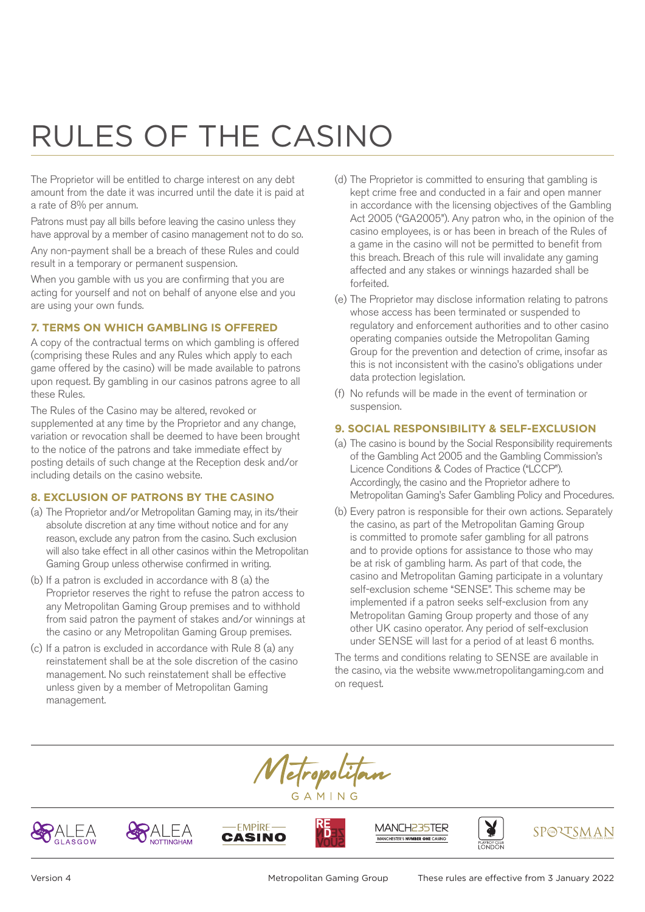The Proprietor will be entitled to charge interest on any debt amount from the date it was incurred until the date it is paid at a rate of 8% per annum.

Patrons must pay all bills before leaving the casino unless they have approval by a member of casino management not to do so.

Any non-payment shall be a breach of these Rules and could result in a temporary or permanent suspension.

When you gamble with us you are confirming that you are acting for yourself and not on behalf of anyone else and you are using your own funds.

#### **7. TERMS ON WHICH GAMBLING IS OFFERED**

A copy of the contractual terms on which gambling is offered (comprising these Rules and any Rules which apply to each game offered by the casino) will be made available to patrons upon request. By gambling in our casinos patrons agree to all these Rules.

The Rules of the Casino may be altered, revoked or supplemented at any time by the Proprietor and any change, variation or revocation shall be deemed to have been brought to the notice of the patrons and take immediate effect by posting details of such change at the Reception desk and/or including details on the casino website.

### **8. EXCLUSION OF PATRONS BY THE CASINO**

- (a) The Proprietor and/or Metropolitan Gaming may, in its/their absolute discretion at any time without notice and for any reason, exclude any patron from the casino. Such exclusion will also take effect in all other casinos within the Metropolitan Gaming Group unless otherwise confirmed in writing.
- (b) If a patron is excluded in accordance with 8 (a) the Proprietor reserves the right to refuse the patron access to any Metropolitan Gaming Group premises and to withhold from said patron the payment of stakes and/or winnings at the casino or any Metropolitan Gaming Group premises.
- (c) If a patron is excluded in accordance with Rule 8 (a) any reinstatement shall be at the sole discretion of the casino management. No such reinstatement shall be effective unless given by a member of Metropolitan Gaming management.
- (d) The Proprietor is committed to ensuring that gambling is kept crime free and conducted in a fair and open manner in accordance with the licensing objectives of the Gambling Act 2005 ("GA2005"). Any patron who, in the opinion of the casino employees, is or has been in breach of the Rules of a game in the casino will not be permitted to benefit from this breach. Breach of this rule will invalidate any gaming affected and any stakes or winnings hazarded shall be forfeited.
- (e) The Proprietor may disclose information relating to patrons whose access has been terminated or suspended to regulatory and enforcement authorities and to other casino operating companies outside the Metropolitan Gaming Group for the prevention and detection of crime, insofar as this is not inconsistent with the casino's obligations under data protection legislation.
- (f) No refunds will be made in the event of termination or suspension.

## **9. SOCIAL RESPONSIBILITY & SELF-EXCLUSION**

- (a) The casino is bound by the Social Responsibility requirements of the Gambling Act 2005 and the Gambling Commission's Licence Conditions & Codes of Practice ("LCCP"). Accordingly, the casino and the Proprietor adhere to Metropolitan Gaming's Safer Gambling Policy and Procedures.
- (b) Every patron is responsible for their own actions. Separately the casino, as part of the Metropolitan Gaming Group is committed to promote safer gambling for all patrons and to provide options for assistance to those who may be at risk of gambling harm. As part of that code, the casino and Metropolitan Gaming participate in a voluntary self-exclusion scheme "SENSE". This scheme may be implemented if a patron seeks self-exclusion from any Metropolitan Gaming Group property and those of any other UK casino operator. Any period of self-exclusion under SENSE will last for a period of at least 6 months.

The terms and conditions relating to SENSE are available in the casino, via the website www.metropolitangaming.com and on request.













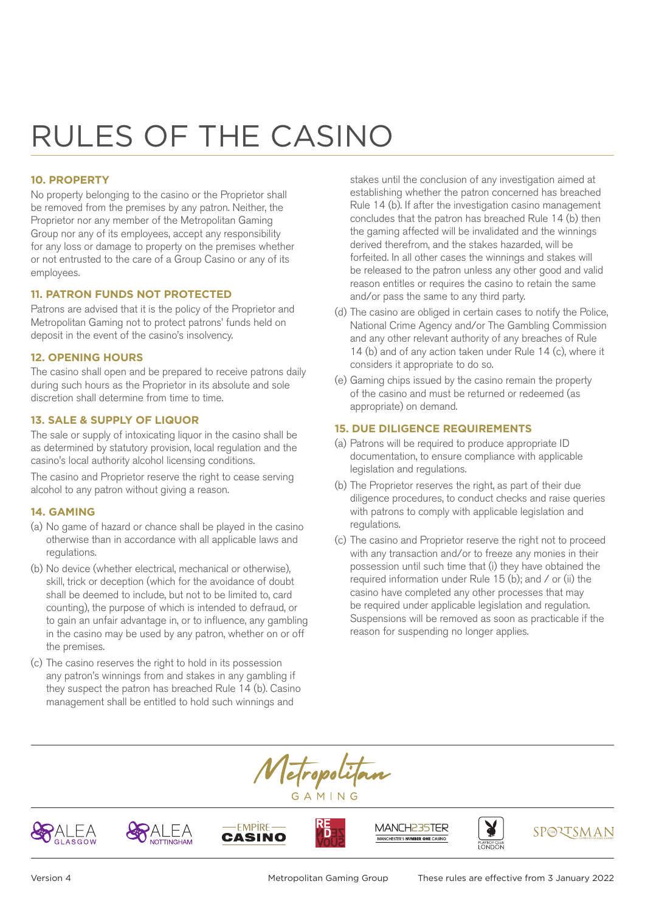## **10. PROPERTY**

No property belonging to the casino or the Proprietor shall be removed from the premises by any patron. Neither, the Proprietor nor any member of the Metropolitan Gaming Group nor any of its employees, accept any responsibility for any loss or damage to property on the premises whether or not entrusted to the care of a Group Casino or any of its employees.

#### **11. PATRON FUNDS NOT PROTECTED**

Patrons are advised that it is the policy of the Proprietor and Metropolitan Gaming not to protect patrons' funds held on deposit in the event of the casino's insolvency.

#### **12. OPENING HOURS**

The casino shall open and be prepared to receive patrons daily during such hours as the Proprietor in its absolute and sole discretion shall determine from time to time.

## **13. SALE & SUPPLY OF LIQUOR**

The sale or supply of intoxicating liquor in the casino shall be as determined by statutory provision, local regulation and the casino's local authority alcohol licensing conditions.

The casino and Proprietor reserve the right to cease serving alcohol to any patron without giving a reason.

#### **14. GAMING**

- (a) No game of hazard or chance shall be played in the casino otherwise than in accordance with all applicable laws and regulations.
- (b) No device (whether electrical, mechanical or otherwise), skill, trick or deception (which for the avoidance of doubt shall be deemed to include, but not to be limited to, card counting), the purpose of which is intended to defraud, or to gain an unfair advantage in, or to influence, any gambling in the casino may be used by any patron, whether on or off the premises.
- (c) The casino reserves the right to hold in its possession any patron's winnings from and stakes in any gambling if they suspect the patron has breached Rule 14 (b). Casino management shall be entitled to hold such winnings and

stakes until the conclusion of any investigation aimed at establishing whether the patron concerned has breached Rule 14 (b). If after the investigation casino management concludes that the patron has breached Rule 14 (b) then the gaming affected will be invalidated and the winnings derived therefrom, and the stakes hazarded, will be forfeited. In all other cases the winnings and stakes will be released to the patron unless any other good and valid reason entitles or requires the casino to retain the same and/or pass the same to any third party.

- (d) The casino are obliged in certain cases to notify the Police, National Crime Agency and/or The Gambling Commission and any other relevant authority of any breaches of Rule 14 (b) and of any action taken under Rule 14 (c), where it considers it appropriate to do so.
- (e) Gaming chips issued by the casino remain the property of the casino and must be returned or redeemed (as appropriate) on demand.

#### **15. DUE DILIGENCE REQUIREMENTS**

- (a) Patrons will be required to produce appropriate ID documentation, to ensure compliance with applicable legislation and regulations.
- (b) The Proprietor reserves the right, as part of their due diligence procedures, to conduct checks and raise queries with patrons to comply with applicable legislation and regulations.
- (c) The casino and Proprietor reserve the right not to proceed with any transaction and/or to freeze any monies in their possession until such time that (i) they have obtained the required information under Rule 15 (b); and / or (ii) the casino have completed any other processes that may be required under applicable legislation and regulation. Suspensions will be removed as soon as practicable if the reason for suspending no longer applies.















Version 4 Metropolitan Gaming Group These rules are effective from 3 January 2022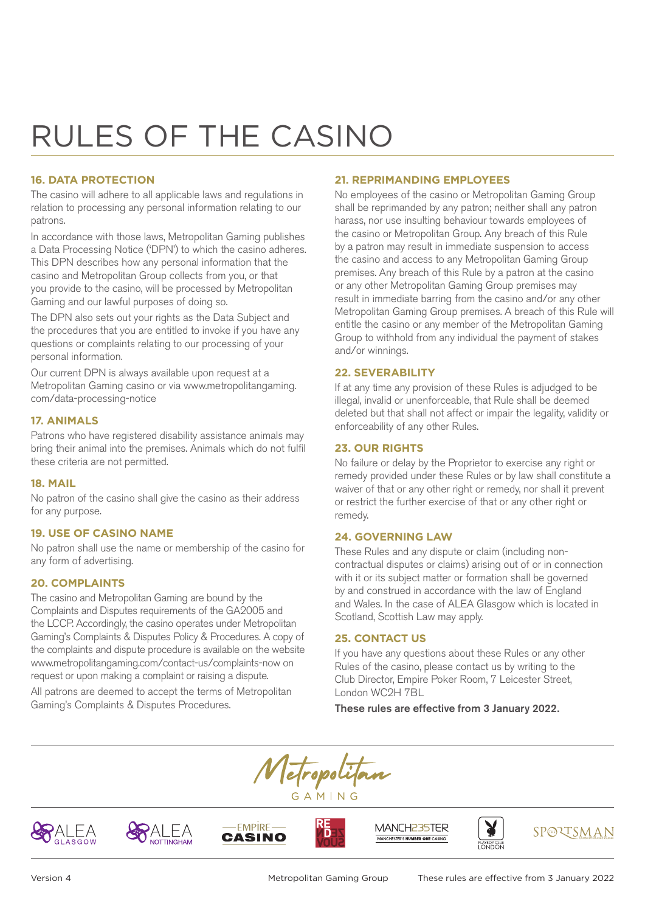# **16. DATA PROTECTION**

The casino will adhere to all applicable laws and regulations in relation to processing any personal information relating to our patrons.

In accordance with those laws, Metropolitan Gaming publishes a Data Processing Notice ('DPN') to which the casino adheres. This DPN describes how any personal information that the casino and Metropolitan Group collects from you, or that you provide to the casino, will be processed by Metropolitan Gaming and our lawful purposes of doing so.

The DPN also sets out your rights as the Data Subject and the procedures that you are entitled to invoke if you have any questions or complaints relating to our processing of your personal information.

Our current DPN is always available upon request at a Metropolitan Gaming casino or via www.metropolitangaming. com/data-processing-notice

# **17. ANIMALS**

Patrons who have registered disability assistance animals may bring their animal into the premises. Animals which do not fulfil these criteria are not permitted.

#### **18. MAIL**

No patron of the casino shall give the casino as their address for any purpose.

#### **19. USE OF CASINO NAME**

No patron shall use the name or membership of the casino for any form of advertising.

#### **20. COMPLAINTS**

The casino and Metropolitan Gaming are bound by the Complaints and Disputes requirements of the GA2005 and the LCCP. Accordingly, the casino operates under Metropolitan Gaming's Complaints & Disputes Policy & Procedures. A copy of the complaints and dispute procedure is available on the website www.metropolitangaming.com/contact-us/complaints-now on request or upon making a complaint or raising a dispute.

All patrons are deemed to accept the terms of Metropolitan Gaming's Complaints & Disputes Procedures.

## **21. REPRIMANDING EMPLOYEES**

No employees of the casino or Metropolitan Gaming Group shall be reprimanded by any patron; neither shall any patron harass, nor use insulting behaviour towards employees of the casino or Metropolitan Group. Any breach of this Rule by a patron may result in immediate suspension to access the casino and access to any Metropolitan Gaming Group premises. Any breach of this Rule by a patron at the casino or any other Metropolitan Gaming Group premises may result in immediate barring from the casino and/or any other Metropolitan Gaming Group premises. A breach of this Rule will entitle the casino or any member of the Metropolitan Gaming Group to withhold from any individual the payment of stakes and/or winnings.

#### **22. SEVERABILITY**

If at any time any provision of these Rules is adjudged to be illegal, invalid or unenforceable, that Rule shall be deemed deleted but that shall not affect or impair the legality, validity or enforceability of any other Rules.

#### **23. OUR RIGHTS**

No failure or delay by the Proprietor to exercise any right or remedy provided under these Rules or by law shall constitute a waiver of that or any other right or remedy, nor shall it prevent or restrict the further exercise of that or any other right or remedy.

#### **24. GOVERNING LAW**

These Rules and any dispute or claim (including noncontractual disputes or claims) arising out of or in connection with it or its subject matter or formation shall be governed by and construed in accordance with the law of England and Wales. In the case of ALEA Glasgow which is located in Scotland, Scottish Law may apply.

#### **25. CONTACT US**

If you have any questions about these Rules or any other Rules of the casino, please contact us by writing to the Club Director, Empire Poker Room, 7 Leicester Street, London WC2H 7BL

These rules are effective from 3 January 2022.

Tetropolitan GAMING